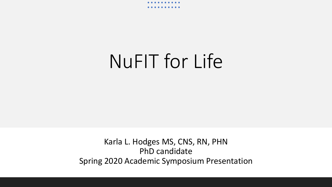# NuFIT for Life

Karla L. Hodges MS, CNS, RN, PHN PhD candidate Spring 2020 Academic Symposium Presentation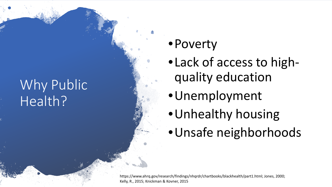## Why Public Health?

#### •Poverty

- •Lack of access to highquality education
- •Unemployment
- •Unhealthy housing
- •Unsafe neighborhoods

https://www.ahrq.gov/research/findings/nhqrdr/chartbooks/blackhealth/part1.html; Jones, 2000; Kelly, R., 2015; Knickman & Kovner, 2015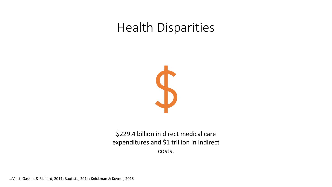#### Health Disparities



\$229.4 billion in direct medical care expenditures and \$1 trillion in indirect costs.

LaVeist, Gaskin, & Richard, 2011; Bautista, 2014; Knickman & Kovner, 2015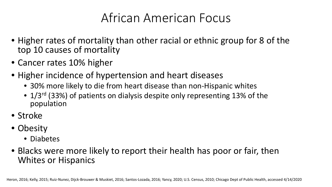#### African American Focus

- Higher rates of mortality than other racial or ethnic group for 8 of the top 10 causes of mortality
- Cancer rates 10% higher
- Higher incidence of hypertension and heart diseases
	- 30% more likely to die from heart disease than non-Hispanic whites
	- 1/3<sup>rd</sup> (33%) of patients on dialysis despite only representing 13% of the population
- Stroke
- Obesity
	- Diabetes
- Blacks were more likely to report their health has poor or fair, then Whites or Hispanics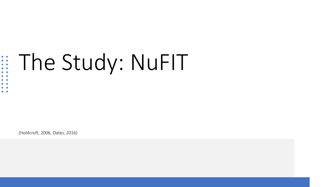#### The Study: NuFIT

(Holdcroft, 2006, Oates, 2016)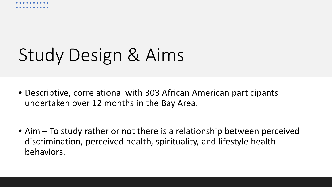

# Study Design & Aims

- Descriptive, correlational with 303 African American participants undertaken over 12 months in the Bay Area.
- Aim To study rather or not there is a relationship between perceived discrimination, perceived health, spirituality, and lifestyle health behaviors.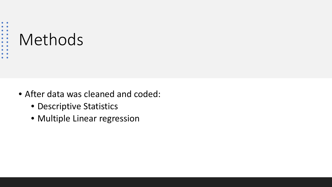

- After data was cleaned and coded:
	- Descriptive Statistics
	- Multiple Linear regression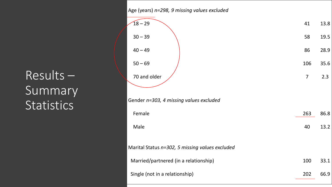#### Results – **Summary Statistics**

| Age (years) n=298, 9 missing values excluded    |                |      |
|-------------------------------------------------|----------------|------|
| $18 - 29$                                       | 41             | 13.8 |
| $30 - 39$                                       | 58             | 19.5 |
| $40 - 49$                                       | 86             | 28.9 |
| $50 - 69$                                       | 106            | 35.6 |
| 70 and older                                    | $\overline{7}$ | 2.3  |
|                                                 |                |      |
| Gender n=303, 4 missing values excluded         |                |      |
| Female                                          | 263            | 86.8 |
| Male                                            | 40             | 13.2 |
| Marital Status n=302, 5 missing values excluded |                |      |
| Married/partnered (in a relationship)           | 100            | 33.1 |
| Single (not in a relationship)                  | 202            | 66.9 |
|                                                 |                |      |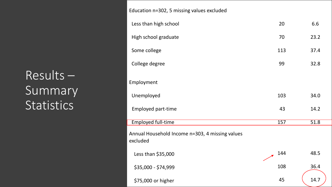#### Results – Summary **Statistics**

| Education n=302, 5 missing values excluded                  |     |      |
|-------------------------------------------------------------|-----|------|
| Less than high school                                       | 20  | 6.6  |
| High school graduate                                        | 70  | 23.2 |
| Some college                                                | 113 | 37.4 |
| College degree                                              | 99  | 32.8 |
| Employment                                                  |     |      |
| Unemployed                                                  | 103 | 34.0 |
| <b>Employed part-time</b>                                   | 43  | 14.2 |
| <b>Employed full-time</b>                                   | 157 | 51.8 |
| Annual Household Income n=303, 4 missing values<br>excluded |     |      |
| Less than \$35,000                                          | 144 | 48.5 |
| \$35,000 - \$74,999                                         | 108 | 36.4 |
| \$75,000 or higher                                          | 45  | 14.7 |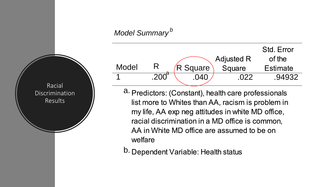#### *Model Summary <sup>b</sup>*

Racial

Discrimination

Results



- a. Predictors: (Constant), health care professionals list more to Whites than AA, racism is problem in my life, AA exp neg attitudes in white MD office, racial discrimination in a MD office is common, AA in White MD office are assumed to be on welfare
- b. Dependent Variable: Health status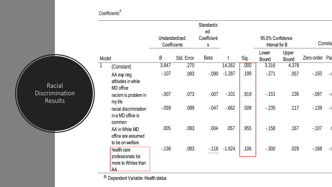#### *Coefficients<sup>a</sup>*

|                                                   |  |                                                                                               |            |             | Unstandardized<br>Coefficients | Standardiz<br>ed<br>Coefficient<br>${\sf S}$ |        |         | 95.0% Confidence<br>Interval for B |                       | Correla        |  |
|---------------------------------------------------|--|-----------------------------------------------------------------------------------------------|------------|-------------|--------------------------------|----------------------------------------------|--------|---------|------------------------------------|-----------------------|----------------|--|
|                                                   |  | Model                                                                                         |            | $\mathsf B$ | Std. Error                     | <b>Beta</b>                                  |        | Sig.    | Lower<br><b>Bound</b>              | Upper<br><b>Bound</b> | Zero-order Par |  |
|                                                   |  |                                                                                               | (Constant) | 3.847       | .270                           |                                              | 14.262 | .000    | 3.316                              | 4.378                 |                |  |
| Racial<br><b>Discrimination</b><br><b>Results</b> |  | AA exp neg<br>attitudes in white<br>MD office                                                 | $-107$     | .083        | $-.090$                        | $-1.287$                                     | .199   | $-271$  | .057                               | $-150$                |                |  |
|                                                   |  | racism is problem in<br>my life                                                               | $-.007$    | .073        | $-.007$                        | $-101$                                       | .919   | $-151$  | .136                               | $-0.097$              |                |  |
|                                                   |  | racial discrimination<br>in a MD office is<br>common                                          | $-0.059$   | .089        | $-0.047$                       | $-662$                                       | .509   | $-235$  | .117                               | $-139$                |                |  |
|                                                   |  | AA in White MD<br>office are assumed<br>to be on welfare                                      | .005       | .083        | .004                           | .057                                         | .955   | $-158$  | .167                               | $-107$                |                |  |
|                                                   |  | health care<br>professionals list<br>more to Whites than<br>$\overline{\mathsf{A}\mathsf{A}}$ | $-136$     | .083        | $-118$                         | $-1.624$                                     | .106   | $-.300$ | .029                               | $-168$                |                |  |

a. Dependent Variable: Health status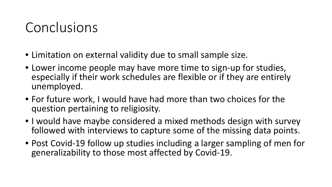#### Conclusions

- Limitation on external validity due to small sample size.
- Lower income people may have more time to sign-up for studies, especially if their work schedules are flexible or if they are entirely unemployed.
- For future work, I would have had more than two choices for the question pertaining to religiosity.
- I would have maybe considered a mixed methods design with survey followed with interviews to capture some of the missing data points.
- Post Covid-19 follow up studies including a larger sampling of men for generalizability to those most affected by Covid-19.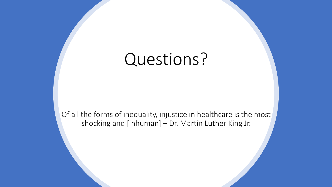## Questions?

Of all the forms of inequality, injustice in healthcare is the most shocking and [inhuman] – Dr. Martin Luther King Jr.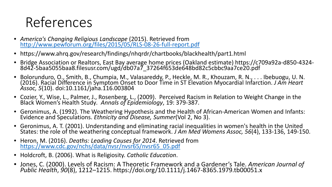### References

- *America's Changing Religious Landscape* [\(2015\). Retrieved from http://www.pewforum.org/files/2015/05/RLS-08-26-full-report.pdf](http://www.pewforum.org/files/2015/05/RLS-08-26-full-report.pdf)
- https://www.ahrq.gov/research/findings/nhqrdr/chartbooks/blackhealth/part1.html
- Bridge Association or Realtors, East Bay average home prices (Oakland estimate) https://c709a92a-d850-4324- 8d42-5baa5055baa8.filesusr.com/ugd/db07a7\_37264f653de648bd82c5cbbc9aa7ce20.pdf
- Bolorunduro, O., Smith, B., Chumpia, M., Valasareddy, P., Heckle, M. R., Khouzam, R. N., . . . Ibebuogu, U. N. (2016). Racial Difference in Symptom Onset to Door Time in ST Elevation Myocardial Infarction. *J Am Heart Assoc, 5*(10). doi:10.1161/jaha.116.003804
- Cozier, Y., Wise, L., Palmer, J., Rosenberg, L., (2009). Perceived Racism in Relation to Weight Change in the Black Women's Health Study*. Annals of Epidemiology*, 19: 379-387.
- Geronimus, A. (1992). The Weathering Hypothesis and the Health of African-American Women and Infants: Evidence and Speculations. *Ethnicity and Disease, Summer*(Vol 2, No 3).
- Geronimus, A. T. (2001). Understanding and eliminating racial inequalities in women's health in the United<br>States: the role of the weathering conceptual framework. *J Am Med Womens Assoc, 56*(4), 133-136, 149-150.
- Heron, M. (2016). *Deaths: Leading Causes for 2014*. Retrieved from [https://www.cdc.gov/nchs/data/nvsr/nvsr65/nvsr65\\_05.pdf](https://www.cdc.gov/nchs/data/nvsr/nvsr65/nvsr65_05.pdf)
- Holdcroft, B. (2006). What is Religiosity. *Catholic Education*.
- Jones, C. (2000). Levels of Racism: A Theoretic Framework and a Gardener's Tale. *American Journal of Public Health*, *90*(8), 1212–1215. https://doi.org/10.1111/j.1467-8365.1979.tb00051.x